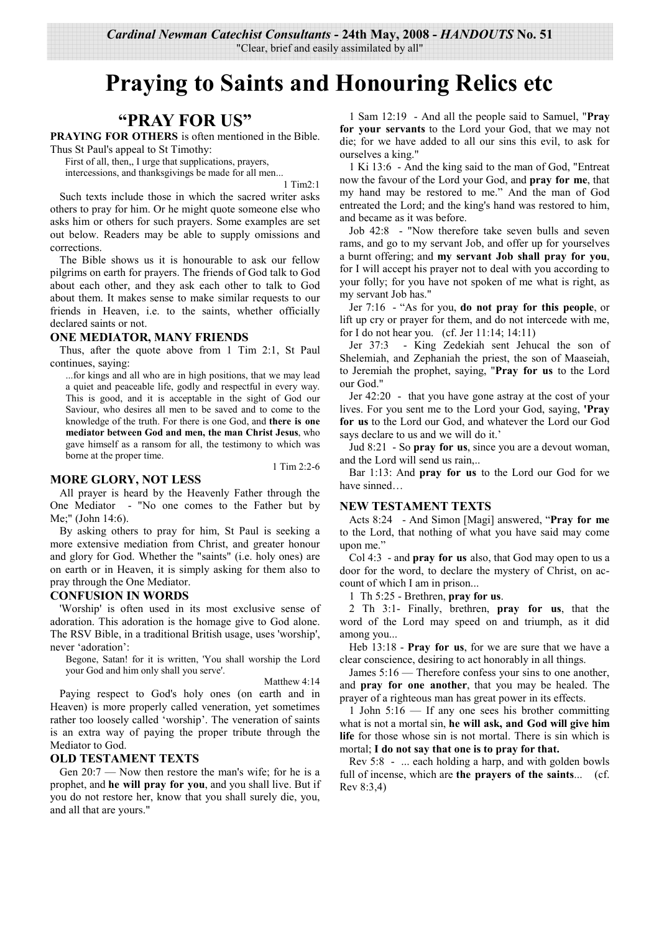"Clear, brief and easily assimilated by all"

# **Praying to Saints and Honouring Relics etc**

# "PRAY FOR US"

**PRAYING FOR OTHERS** is often mentioned in the Bible.

Thus St Paul's appeal to St Timothy:

First of all, then, I urge that supplications, prayers, intercessions, and thanksgivings be made for all men...

 $1$  Tim $2.1$ 

Such texts include those in which the sacred writer asks others to pray for him. Or he might quote someone else who asks him or others for such prayers. Some examples are set out below. Readers may be able to supply omissions and corrections

The Bible shows us it is honourable to ask our fellow pilgrims on earth for prayers. The friends of God talk to God about each other, and they ask each other to talk to God about them. It makes sense to make similar requests to our friends in Heaven, i.e. to the saints, whether officially declared saints or not.

#### **ONE MEDIATOR, MANY FRIENDS**

Thus, after the quote above from 1 Tim 2:1, St Paul continues, saving:

...for kings and all who are in high positions, that we may lead a quiet and peaceable life, godly and respectful in every way. This is good, and it is acceptable in the sight of God our Saviour, who desires all men to be saved and to come to the knowledge of the truth. For there is one God, and there is one mediator between God and men, the man Christ Jesus, who gave himself as a ransom for all, the testimony to which was borne at the proper time.

#### **MORE GLORY, NOT LESS**

1 Tim  $2:2-6$ 

All prayer is heard by the Heavenly Father through the One Mediator - "No one comes to the Father but by Me:" (John 14:6).

By asking others to pray for him, St Paul is seeking a more extensive mediation from Christ, and greater honour and glory for God. Whether the "saints" (i.e. holy ones) are on earth or in Heaven, it is simply asking for them also to pray through the One Mediator.

#### **CONFUSION IN WORDS**

'Worship' is often used in its most exclusive sense of adoration. This adoration is the homage give to God alone. The RSV Bible, in a traditional British usage, uses 'worship', never 'adoration':

Begone, Satan! for it is written, 'You shall worship the Lord your God and him only shall you serve'.

Matthew 4:14

Paying respect to God's holy ones (on earth and in Heaven) is more properly called veneration, yet sometimes rather too loosely called 'worship'. The veneration of saints is an extra way of paying the proper tribute through the Mediator to God.

#### **OLD TESTAMENT TEXTS**

Gen 20:7 — Now then restore the man's wife; for he is a prophet, and he will pray for you, and you shall live. But if you do not restore her, know that you shall surely die, you, and all that are yours."

1 Sam 12:19 - And all the people said to Samuel, "Pray for your servants to the Lord your God, that we may not die; for we have added to all our sins this evil, to ask for ourselves a king."

1 Ki 13:6 - And the king said to the man of God, "Entreat" now the favour of the Lord your God, and pray for me, that my hand may be restored to me." And the man of God entreated the Lord; and the king's hand was restored to him, and became as it was before.

Job 42:8 - "Now therefore take seven bulls and seven rams, and go to my servant Job, and offer up for yourselves a burnt offering; and my servant Job shall pray for you, for I will accept his prayer not to deal with you according to your folly; for you have not spoken of me what is right, as my servant Job has."

Jer 7:16 - "As for you, do not pray for this people, or lift up cry or prayer for them, and do not intercede with me, for I do not hear you. (cf. Jer  $11:14; 14:11$ )

- King Zedekiah sent Jehucal the son of Jer 37:3 Shelemiah, and Zephaniah the priest, the son of Maaseiah, to Jeremiah the prophet, saying, "Pray for us to the Lord our God."

Jer 42:20 - that you have gone astray at the cost of your lives. For you sent me to the Lord your God, saying, 'Pray for us to the Lord our God, and whatever the Lord our God says declare to us and we will do it.'

Jud 8:21 - So pray for us, since you are a devout woman, and the Lord will send us rain,...

Bar 1:13: And pray for us to the Lord our God for we have sinned...

#### **NEW TESTAMENT TEXTS**

Acts 8:24 - And Simon [Magi] answered, "Pray for me to the Lord, that nothing of what you have said may come upon me."

Col 4:3 - and **pray for us** also, that God may open to us a door for the word, to declare the mystery of Christ, on account of which I am in prison...

1 Th  $5:25$  - Brethren, pray for us.

2 Th 3:1- Finally, brethren, pray for us, that the word of the Lord may speed on and triumph, as it did among you...

Heb 13:18 - Pray for us, for we are sure that we have a clear conscience, desiring to act honorably in all things.

James  $5:16$  — Therefore confess your sins to one another, and pray for one another, that you may be healed. The prayer of a righteous man has great power in its effects.

1 John  $5:16$  — If any one sees his brother committing what is not a mortal sin, he will ask, and God will give him **life** for those whose sin is not mortal. There is sin which is mortal; I do not say that one is to pray for that.

Rev 5:8 - ... each holding a harp, and with golden bowls full of incense, which are the prayers of the saints... (cf. Rev  $8:3,4$ )